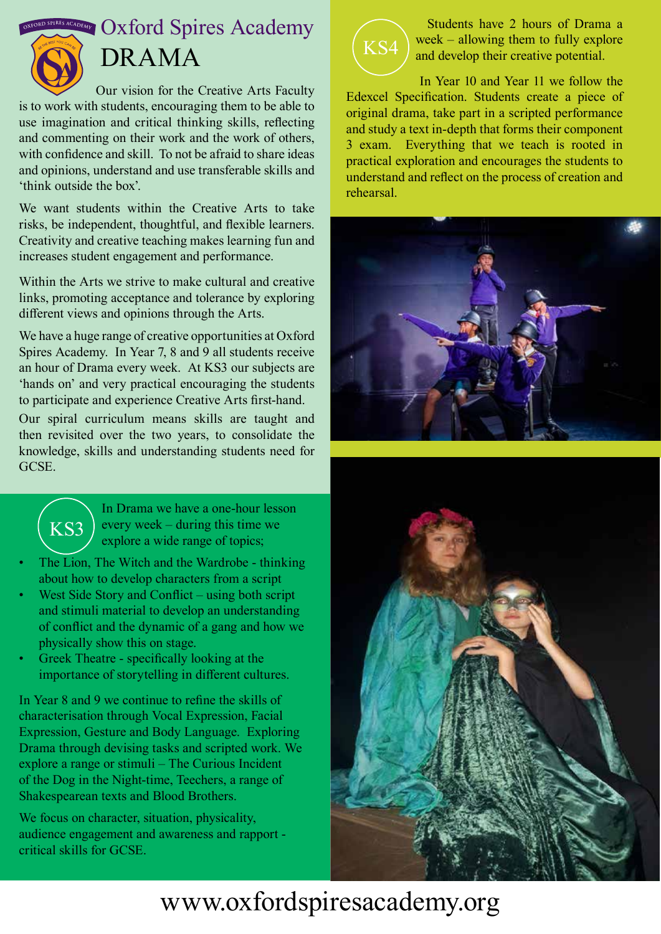$\frac{1}{2}$  **OXFORDSPIRES Academy** 



# DRAMA

Our vision for the Creative Arts Faculty is to work with students, encouraging them to be able to use imagination and critical thinking skills, reflecting and commenting on their work and the work of others, with confidence and skill. To not be afraid to share ideas and opinions, understand and use transferable skills and 'think outside the box'.

We want students within the Creative Arts to take risks, be independent, thoughtful, and flexible learners. Creativity and creative teaching makes learning fun and increases student engagement and performance.

Within the Arts we strive to make cultural and creative links, promoting acceptance and tolerance by exploring different views and opinions through the Arts.

We have a huge range of creative opportunities at Oxford Spires Academy. In Year 7, 8 and 9 all students receive an hour of Drama every week. At KS3 our subjects are 'hands on' and very practical encouraging the students to participate and experience Creative Arts first-hand.

Our spiral curriculum means skills are taught and then revisited over the two years, to consolidate the knowledge, skills and understanding students need for GCSE.



 Students have 2 hours of Drama a week – allowing them to fully explore and develop their creative potential.

 In Year 10 and Year 11 we follow the Edexcel Specification. Students create a piece of original drama, take part in a scripted performance and study a text in-depth that forms their component 3 exam. Everything that we teach is rooted in practical exploration and encourages the students to understand and reflect on the process of creation and rehearsal.





In Drama we have a one-hour lesson every week – during this time we explore a wide range of topics;

- The Lion, The Witch and the Wardrobe thinking about how to develop characters from a script
- West Side Story and Conflict using both script and stimuli material to develop an understanding of conflict and the dynamic of a gang and how we physically show this on stage.
- Greek Theatre specifically looking at the importance of storytelling in different cultures.

In Year 8 and 9 we continue to refine the skills of characterisation through Vocal Expression, Facial Expression, Gesture and Body Language. Exploring Drama through devising tasks and scripted work. We explore a range or stimuli – The Curious Incident of the Dog in the Night-time, Teechers, a range of Shakespearean texts and Blood Brothers.

We focus on character, situation, physicality, audience engagement and awareness and rapport critical skills for GCSE.



# www.oxfordspiresacademy.org